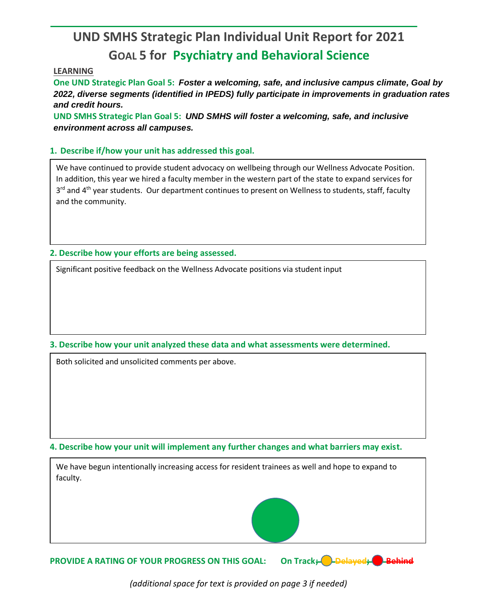## **UND SMHS Strategic Plan Individual Unit Report for 2021 GOAL 5 for Psychiatry and Behavioral Science**

## **LEARNING**

**One UND Strategic Plan Goal 5:** *Foster a welcoming, safe, and inclusive campus climate, Goal by 2022, diverse segments (identified in IPEDS) fully participate in improvements in graduation rates and credit hours.*

**UND SMHS Strategic Plan Goal 5:** *UND SMHS will foster a welcoming, safe, and inclusive environment across all campuses.*

## **1. Describe if/how your unit has addressed this goal.**

We have continued to provide student advocacy on wellbeing through our Wellness Advocate Position. In addition, this year we hired a faculty member in the western part of the state to expand services for 3<sup>rd</sup> and 4<sup>th</sup> year students. Our department continues to present on Wellness to students, staff, faculty and the community.

**2. Describe how your efforts are being assessed.** 

Significant positive feedback on the Wellness Advocate positions via student input

## **3. Describe how your unit analyzed these data and what assessments were determined.**

Both solicited and unsolicited comments per above.

**4. Describe how your unit will implement any further changes and what barriers may exist.**

We have begun intentionally increasing access for resident trainees as well and hope to expand to faculty.



**PROVIDE A RATING OF YOUR PROGRESS ON THIS GOAL: On Track; D-Delayed; Behind** 

*(additional space for text is provided on page 3 if needed)*